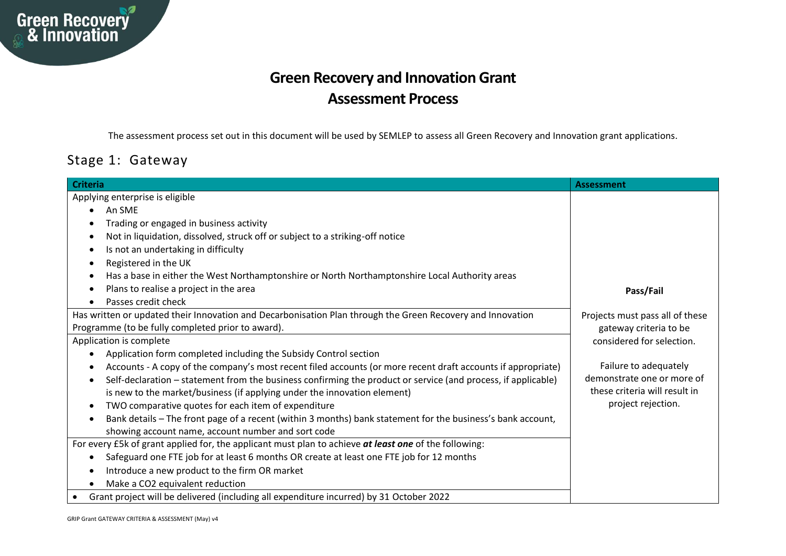

## **Green Recovery and Innovation Grant Assessment Process**

The assessment process set out in this document will be used by SEMLEP to assess all Green Recovery and Innovation grant applications.

## Stage 1: Gateway

| <b>Criteria</b>                                                                                                            | Assessment                      |
|----------------------------------------------------------------------------------------------------------------------------|---------------------------------|
| Applying enterprise is eligible                                                                                            |                                 |
| An SME<br>$\bullet$                                                                                                        |                                 |
| Trading or engaged in business activity                                                                                    |                                 |
| Not in liquidation, dissolved, struck off or subject to a striking-off notice                                              |                                 |
| Is not an undertaking in difficulty                                                                                        |                                 |
| Registered in the UK                                                                                                       |                                 |
| Has a base in either the West Northamptonshire or North Northamptonshire Local Authority areas                             |                                 |
| Plans to realise a project in the area                                                                                     | Pass/Fail                       |
| Passes credit check                                                                                                        |                                 |
| Has written or updated their Innovation and Decarbonisation Plan through the Green Recovery and Innovation                 | Projects must pass all of these |
| Programme (to be fully completed prior to award).                                                                          | gateway criteria to be          |
| Application is complete                                                                                                    | considered for selection.       |
| Application form completed including the Subsidy Control section<br>$\bullet$                                              |                                 |
| Accounts - A copy of the company's most recent filed accounts (or more recent draft accounts if appropriate)               | Failure to adequately           |
| Self-declaration - statement from the business confirming the product or service (and process, if applicable)<br>$\bullet$ | demonstrate one or more of      |
| is new to the market/business (if applying under the innovation element)                                                   | these criteria will result in   |
| TWO comparative quotes for each item of expenditure<br>$\bullet$                                                           | project rejection.              |
| Bank details - The front page of a recent (within 3 months) bank statement for the business's bank account,                |                                 |
| showing account name, account number and sort code                                                                         |                                 |
| For every £5k of grant applied for, the applicant must plan to achieve at least one of the following:                      |                                 |
| Safeguard one FTE job for at least 6 months OR create at least one FTE job for 12 months                                   |                                 |
| Introduce a new product to the firm OR market                                                                              |                                 |
| Make a CO2 equivalent reduction                                                                                            |                                 |
| Grant project will be delivered (including all expenditure incurred) by 31 October 2022                                    |                                 |